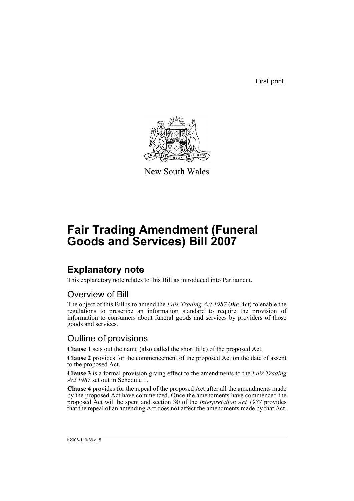First print



New South Wales

# **Fair Trading Amendment (Funeral Goods and Services) Bill 2007**

## **Explanatory note**

This explanatory note relates to this Bill as introduced into Parliament.

### Overview of Bill

The object of this Bill is to amend the *Fair Trading Act 1987* (*the Act*) to enable the regulations to prescribe an information standard to require the provision of information to consumers about funeral goods and services by providers of those goods and services.

### Outline of provisions

**Clause 1** sets out the name (also called the short title) of the proposed Act.

**Clause 2** provides for the commencement of the proposed Act on the date of assent to the proposed Act.

**Clause 3** is a formal provision giving effect to the amendments to the *Fair Trading Act 1987* set out in Schedule 1.

**Clause 4** provides for the repeal of the proposed Act after all the amendments made by the proposed Act have commenced. Once the amendments have commenced the proposed Act will be spent and section 30 of the *Interpretation Act 1987* provides that the repeal of an amending Act does not affect the amendments made by that Act.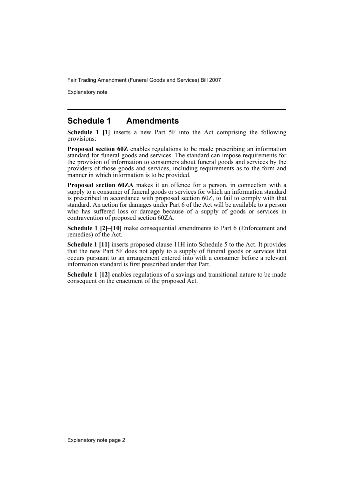Explanatory note

#### **Schedule 1 Amendments**

**Schedule 1 [1]** inserts a new Part 5F into the Act comprising the following provisions:

**Proposed section 60Z** enables regulations to be made prescribing an information standard for funeral goods and services. The standard can impose requirements for the provision of information to consumers about funeral goods and services by the providers of those goods and services, including requirements as to the form and manner in which information is to be provided.

**Proposed section 60ZA** makes it an offence for a person, in connection with a supply to a consumer of funeral goods or services for which an information standard is prescribed in accordance with proposed section 60Z, to fail to comply with that standard. An action for damages under Part 6 of the Act will be available to a person who has suffered loss or damage because of a supply of goods or services in contravention of proposed section 60ZA.

**Schedule 1 [2]–[10]** make consequential amendments to Part 6 (Enforcement and remedies) of the Act.

**Schedule 1 [11]** inserts proposed clause 11H into Schedule 5 to the Act. It provides that the new Part 5F does not apply to a supply of funeral goods or services that occurs pursuant to an arrangement entered into with a consumer before a relevant information standard is first prescribed under that Part.

**Schedule 1 [12]** enables regulations of a savings and transitional nature to be made consequent on the enactment of the proposed Act.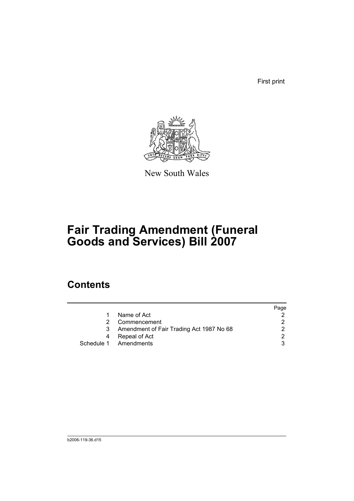First print



New South Wales

# **Fair Trading Amendment (Funeral Goods and Services) Bill 2007**

### **Contents**

|    |                                          | Page |
|----|------------------------------------------|------|
| 1. | Name of Act                              | 2    |
|    | Commencement                             |      |
|    | Amendment of Fair Trading Act 1987 No 68 |      |
|    | Repeal of Act                            | 2    |
|    | Schedule 1 Amendments                    |      |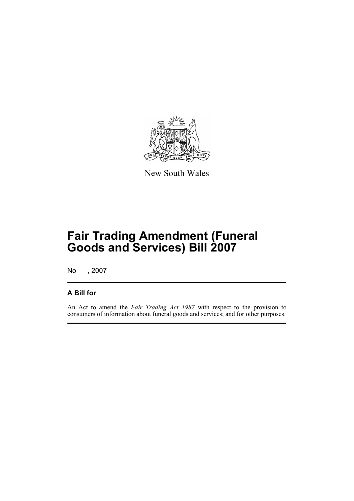

New South Wales

## **Fair Trading Amendment (Funeral Goods and Services) Bill 2007**

No , 2007

#### **A Bill for**

An Act to amend the *Fair Trading Act 1987* with respect to the provision to consumers of information about funeral goods and services; and for other purposes.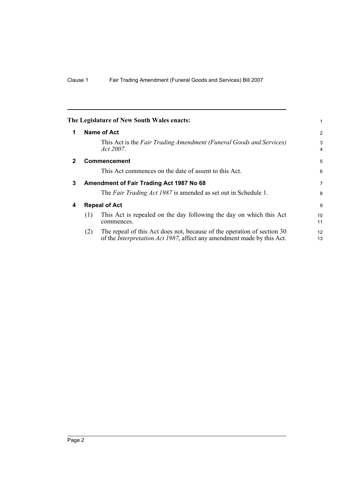<span id="page-5-3"></span><span id="page-5-2"></span><span id="page-5-1"></span><span id="page-5-0"></span>

|              |     | The Legislature of New South Wales enacts:                                                                                                                | 1              |
|--------------|-----|-----------------------------------------------------------------------------------------------------------------------------------------------------------|----------------|
| 1            |     | Name of Act                                                                                                                                               | 2              |
|              |     | This Act is the Fair Trading Amendment (Funeral Goods and Services)<br>Act 2007.                                                                          | 3<br>4         |
| $\mathbf{2}$ |     | <b>Commencement</b>                                                                                                                                       | 5              |
|              |     | This Act commences on the date of assent to this Act.                                                                                                     | 6              |
| 3            |     | Amendment of Fair Trading Act 1987 No 68                                                                                                                  | $\overline{7}$ |
|              |     | The Fair Trading Act 1987 is amended as set out in Schedule 1.                                                                                            | 8              |
| 4            |     | <b>Repeal of Act</b>                                                                                                                                      | 9              |
|              | (1) | This Act is repealed on the day following the day on which this Act<br>commences.                                                                         | 10<br>11       |
|              | (2) | The repeal of this Act does not, because of the operation of section 30<br>of the <i>Interpretation Act 1987</i> , affect any amendment made by this Act. | 12<br>13       |
|              |     |                                                                                                                                                           |                |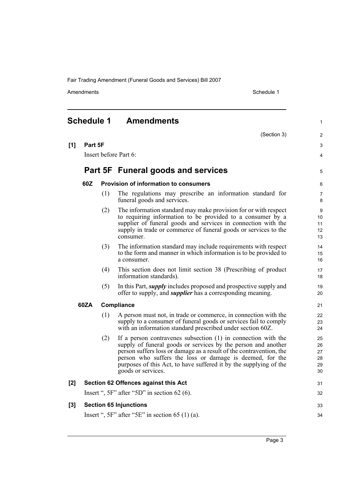Amendments Schedule 1

<span id="page-6-0"></span>

|       | <b>Schedule 1</b> |     | <b>Amendments</b>                                                                                                                                                                                                                                                                                                                                              | $\mathbf{1}$                           |
|-------|-------------------|-----|----------------------------------------------------------------------------------------------------------------------------------------------------------------------------------------------------------------------------------------------------------------------------------------------------------------------------------------------------------------|----------------------------------------|
|       |                   |     | (Section 3)                                                                                                                                                                                                                                                                                                                                                    | $\overline{2}$                         |
| [1]   | Part 5F           |     |                                                                                                                                                                                                                                                                                                                                                                | 3                                      |
|       |                   |     | Insert before Part 6:                                                                                                                                                                                                                                                                                                                                          | 4                                      |
|       |                   |     | Part 5F Funeral goods and services                                                                                                                                                                                                                                                                                                                             | 5                                      |
|       | 60Z               |     | Provision of information to consumers                                                                                                                                                                                                                                                                                                                          | 6                                      |
|       |                   | (1) | The regulations may prescribe an information standard for<br>funeral goods and services.                                                                                                                                                                                                                                                                       | $\overline{7}$<br>8                    |
|       |                   | (2) | The information standard may make provision for or with respect<br>to requiring information to be provided to a consumer by a<br>supplier of funeral goods and services in connection with the<br>supply in trade or commerce of funeral goods or services to the<br>consumer.                                                                                 | 9<br>10 <sup>°</sup><br>11<br>12<br>13 |
|       |                   | (3) | The information standard may include requirements with respect<br>to the form and manner in which information is to be provided to<br>a consumer.                                                                                                                                                                                                              | 14<br>15<br>16                         |
|       |                   | (4) | This section does not limit section 38 (Prescribing of product<br>information standards).                                                                                                                                                                                                                                                                      | 17<br>18                               |
|       |                   | (5) | In this Part, <i>supply</i> includes proposed and prospective supply and<br>offer to supply, and <i>supplier</i> has a corresponding meaning.                                                                                                                                                                                                                  | 19<br>20                               |
|       | 60ZA              |     | Compliance                                                                                                                                                                                                                                                                                                                                                     | 21                                     |
|       |                   | (1) | A person must not, in trade or commerce, in connection with the<br>supply to a consumer of funeral goods or services fail to comply<br>with an information standard prescribed under section 60Z.                                                                                                                                                              | 22<br>23<br>24                         |
|       |                   | (2) | If a person contravenes subsection $(1)$ in connection with the<br>supply of funeral goods or services by the person and another<br>person suffers loss or damage as a result of the contravention, the<br>person who suffers the loss or damage is deemed, for the<br>purposes of this Act, to have suffered it by the supplying of the<br>goods or services. | 25<br>26<br>27<br>28<br>29<br>30       |
| [2]   |                   |     | Section 62 Offences against this Act                                                                                                                                                                                                                                                                                                                           | 31                                     |
|       |                   |     | Insert ", $5F$ " after " $5D$ " in section 62 (6).                                                                                                                                                                                                                                                                                                             | 32                                     |
| $[3]$ |                   |     | <b>Section 65 Injunctions</b>                                                                                                                                                                                                                                                                                                                                  | 33                                     |
|       |                   |     | Insert ", $5F$ " after " $5E$ " in section 65 (1) (a).                                                                                                                                                                                                                                                                                                         | 34                                     |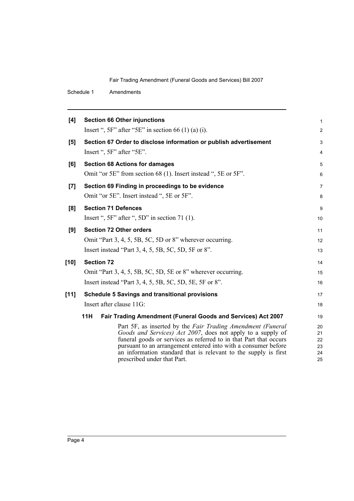Schedule 1 Amendments

| <b>Section 66 Other injunctions</b>                                                                                                                                                                                                                                                                                                                                 | $\mathbf{1}$                     |
|---------------------------------------------------------------------------------------------------------------------------------------------------------------------------------------------------------------------------------------------------------------------------------------------------------------------------------------------------------------------|----------------------------------|
| Insert ", $5F$ " after " $5E$ " in section 66 (1) (a) (i).                                                                                                                                                                                                                                                                                                          | $\overline{2}$                   |
| Section 67 Order to disclose information or publish advertisement                                                                                                                                                                                                                                                                                                   | 3                                |
| Insert ", 5F" after "5E".                                                                                                                                                                                                                                                                                                                                           | $\overline{4}$                   |
| <b>Section 68 Actions for damages</b>                                                                                                                                                                                                                                                                                                                               | 5                                |
| Omit "or 5E" from section 68 (1). Insert instead ", 5E or 5F".                                                                                                                                                                                                                                                                                                      | 6                                |
| Section 69 Finding in proceedings to be evidence                                                                                                                                                                                                                                                                                                                    | $\overline{7}$                   |
| Omit "or 5E". Insert instead ", 5E or 5F".                                                                                                                                                                                                                                                                                                                          | 8                                |
| <b>Section 71 Defences</b>                                                                                                                                                                                                                                                                                                                                          | 9                                |
| Insert ", $5F$ " after ", $5D$ " in section 71 (1).                                                                                                                                                                                                                                                                                                                 | 10                               |
| <b>Section 72 Other orders</b>                                                                                                                                                                                                                                                                                                                                      | 11                               |
| Omit "Part 3, 4, 5, 5B, 5C, 5D or 8" wherever occurring.                                                                                                                                                                                                                                                                                                            | 12                               |
| Insert instead "Part 3, 4, 5, 5B, 5C, 5D, 5F or 8".                                                                                                                                                                                                                                                                                                                 | 13                               |
| <b>Section 72</b>                                                                                                                                                                                                                                                                                                                                                   | 14                               |
| Omit "Part 3, 4, 5, 5B, 5C, 5D, 5E or 8" wherever occurring.                                                                                                                                                                                                                                                                                                        | 15                               |
| Insert instead "Part 3, 4, 5, 5B, 5C, 5D, 5E, 5F or 8".                                                                                                                                                                                                                                                                                                             | 16                               |
| <b>Schedule 5 Savings and transitional provisions</b>                                                                                                                                                                                                                                                                                                               | 17                               |
| Insert after clause 11G:                                                                                                                                                                                                                                                                                                                                            | 18                               |
| 11H<br>Fair Trading Amendment (Funeral Goods and Services) Act 2007                                                                                                                                                                                                                                                                                                 | 19                               |
| Part 5F, as inserted by the Fair Trading Amendment (Funeral<br>Goods and Services) Act 2007, does not apply to a supply of<br>funeral goods or services as referred to in that Part that occurs<br>pursuant to an arrangement entered into with a consumer before<br>an information standard that is relevant to the supply is first<br>prescribed under that Part. | 20<br>21<br>22<br>23<br>24<br>25 |
|                                                                                                                                                                                                                                                                                                                                                                     |                                  |